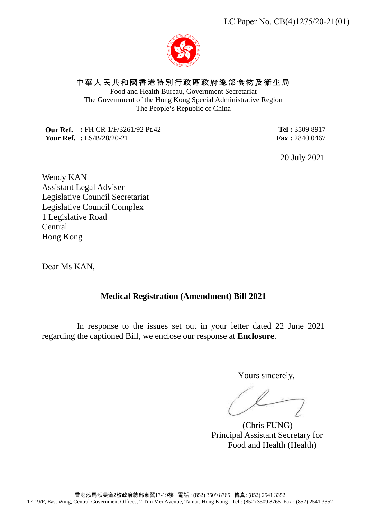香港添馬添美道2號政府總部東翼17-19樓 電話 : (852) 3509 8765 傳真: (852) 2541 3352 17-19/F, East Wing, Central Government Offices, 2 Tim Mei Avenue, Tamar, Hong Kong Tel : (852) 3509 8765 Fax : (852) 2541 3352

中華人民共和國香港特別行政區政府總部食物及衞生局

Food and Health Bureau, Government Secretariat The Government of the Hong Kong Special Administrative Region The People's Republic of China

**Our Ref. :** FH CR 1/F/3261/92 Pt.42 **Your Ref. :** LS/B/28/20-21

**Tel :** 3509 8917 **Fax :** 2840 0467

20 July 2021

Wendy KAN Assistant Legal Adviser Legislative Council Secretariat Legislative Council Complex 1 Legislative Road Central Hong Kong

Dear Ms KAN,

## **Medical Registration (Amendment) Bill 2021**

In response to the issues set out in your letter dated 22 June 2021 regarding the captioned Bill, we enclose our response at **Enclosure**.

Yours sincerely,

 (Chris FUNG) Principal Assistant Secretary for Food and Health (Health)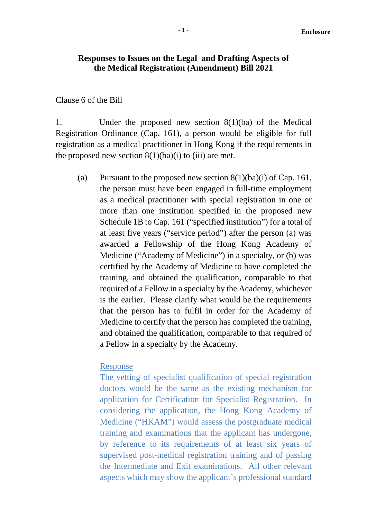### **Responses to Issues on the Legal and Drafting Aspects of the Medical Registration (Amendment) Bill 2021**

#### Clause 6 of the Bill

1. Under the proposed new section 8(1)(ba) of the Medical Registration Ordinance (Cap. 161), a person would be eligible for full registration as a medical practitioner in Hong Kong if the requirements in the proposed new section  $8(1)(ba)(i)$  to (iii) are met.

(a) Pursuant to the proposed new section  $8(1)(ba)(i)$  of Cap. 161, the person must have been engaged in full-time employment as a medical practitioner with special registration in one or more than one institution specified in the proposed new Schedule 1B to Cap. 161 ("specified institution") for a total of at least five years ("service period") after the person (a) was awarded a Fellowship of the Hong Kong Academy of Medicine ("Academy of Medicine") in a specialty, or (b) was certified by the Academy of Medicine to have completed the training, and obtained the qualification, comparable to that required of a Fellow in a specialty by the Academy, whichever is the earlier. Please clarify what would be the requirements that the person has to fulfil in order for the Academy of Medicine to certify that the person has completed the training, and obtained the qualification, comparable to that required of a Fellow in a specialty by the Academy.

#### Response

The vetting of specialist qualification of special registration doctors would be the same as the existing mechanism for application for Certification for Specialist Registration. In considering the application, the Hong Kong Academy of Medicine ("HKAM") would assess the postgraduate medical training and examinations that the applicant has undergone, by reference to its requirements of at least six years of supervised post-medical registration training and of passing the Intermediate and Exit examinations. All other relevant aspects which may show the applicant's professional standard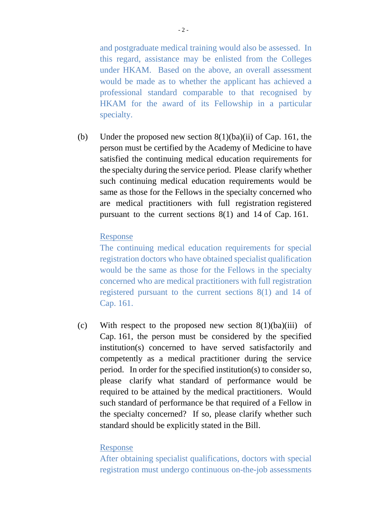and postgraduate medical training would also be assessed. In this regard, assistance may be enlisted from the Colleges under HKAM. Based on the above, an overall assessment would be made as to whether the applicant has achieved a professional standard comparable to that recognised by HKAM for the award of its Fellowship in a particular specialty.

(b) Under the proposed new section  $8(1)(ba)(ii)$  of Cap. 161, the person must be certified by the Academy of Medicine to have satisfied the continuing medical education requirements for the specialty during the service period. Please clarify whether such continuing medical education requirements would be same as those for the Fellows in the specialty concerned who are medical practitioners with full registration registered pursuant to the current sections 8(1) and 14 of Cap. 161.

#### Response

The continuing medical education requirements for special registration doctors who have obtained specialist qualification would be the same as those for the Fellows in the specialty concerned who are medical practitioners with full registration registered pursuant to the current sections 8(1) and 14 of Cap. 161.

(c) With respect to the proposed new section  $8(1)(ba)(iii)$  of Cap. 161, the person must be considered by the specified institution(s) concerned to have served satisfactorily and competently as a medical practitioner during the service period. In order for the specified institution(s) to consider so, please clarify what standard of performance would be required to be attained by the medical practitioners. Would such standard of performance be that required of a Fellow in the specialty concerned? If so, please clarify whether such standard should be explicitly stated in the Bill.

#### Response

After obtaining specialist qualifications, doctors with special registration must undergo continuous on-the-job assessments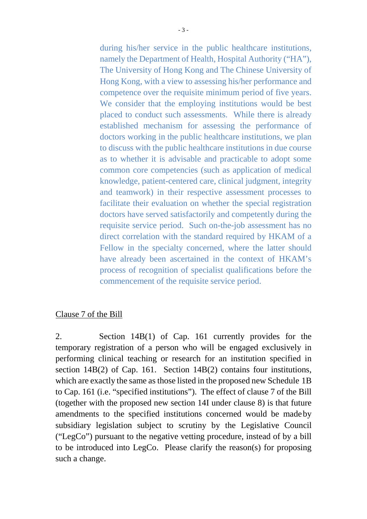during his/her service in the public healthcare institutions, namely the Department of Health, Hospital Authority ("HA"), The University of Hong Kong and The Chinese University of Hong Kong, with a view to assessing his/her performance and competence over the requisite minimum period of five years. We consider that the employing institutions would be best placed to conduct such assessments. While there is already established mechanism for assessing the performance of doctors working in the public healthcare institutions, we plan to discuss with the public healthcare institutions in due course as to whether it is advisable and practicable to adopt some common core competencies (such as application of medical knowledge, patient-centered care, clinical judgment, integrity and teamwork) in their respective assessment processes to facilitate their evaluation on whether the special registration doctors have served satisfactorily and competently during the requisite service period. Such on-the-job assessment has no direct correlation with the standard required by HKAM of a Fellow in the specialty concerned, where the latter should have already been ascertained in the context of HKAM's process of recognition of specialist qualifications before the commencement of the requisite service period.

### Clause 7 of the Bill

2. Section 14B(1) of Cap. 161 currently provides for the temporary registration of a person who will be engaged exclusively in performing clinical teaching or research for an institution specified in section 14B(2) of Cap. 161. Section 14B(2) contains four institutions, which are exactly the same as those listed in the proposed new Schedule 1B to Cap. 161 (i.e. "specified institutions"). The effect of clause 7 of the Bill (together with the proposed new section 14I under clause 8) is that future amendments to the specified institutions concerned would be madeby subsidiary legislation subject to scrutiny by the Legislative Council ("LegCo") pursuant to the negative vetting procedure, instead of by a bill to be introduced into LegCo. Please clarify the reason(s) for proposing such a change.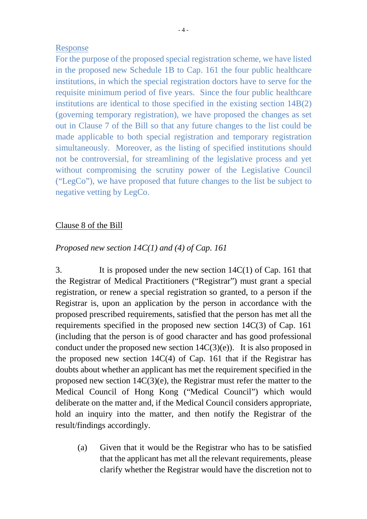#### Response

For the purpose of the proposed special registration scheme, we have listed in the proposed new Schedule 1B to Cap. 161 the four public healthcare institutions, in which the special registration doctors have to serve for the requisite minimum period of five years. Since the four public healthcare institutions are identical to those specified in the existing section 14B(2) (governing temporary registration), we have proposed the changes as set out in Clause 7 of the Bill so that any future changes to the list could be made applicable to both special registration and temporary registration simultaneously. Moreover, as the listing of specified institutions should not be controversial, for streamlining of the legislative process and yet without compromising the scrutiny power of the Legislative Council ("LegCo"), we have proposed that future changes to the list be subject to negative vetting by LegCo.

## Clause 8 of the Bill

## *Proposed new section 14C(1) and (4) of Cap. 161*

3. It is proposed under the new section 14C(1) of Cap. 161 that the Registrar of Medical Practitioners ("Registrar") must grant a special registration, or renew a special registration so granted, to a person if the Registrar is, upon an application by the person in accordance with the proposed prescribed requirements, satisfied that the person has met all the requirements specified in the proposed new section 14C(3) of Cap. 161 (including that the person is of good character and has good professional conduct under the proposed new section  $14C(3)(e)$ . It is also proposed in the proposed new section 14C(4) of Cap. 161 that if the Registrar has doubts about whether an applicant has met the requirement specified in the proposed new section 14C(3)(e), the Registrar must refer the matter to the Medical Council of Hong Kong ("Medical Council") which would deliberate on the matter and, if the Medical Council considers appropriate, hold an inquiry into the matter, and then notify the Registrar of the result/findings accordingly.

(a) Given that it would be the Registrar who has to be satisfied that the applicant has met all the relevant requirements, please clarify whether the Registrar would have the discretion not to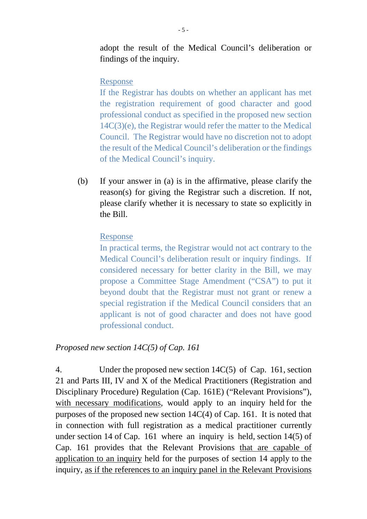adopt the result of the Medical Council's deliberation or findings of the inquiry.

#### Response

If the Registrar has doubts on whether an applicant has met the registration requirement of good character and good professional conduct as specified in the proposed new section 14C(3)(e), the Registrar would refer the matter to the Medical Council. The Registrar would have no discretion not to adopt the result of the Medical Council's deliberation or the findings of the Medical Council's inquiry.

(b) If your answer in (a) is in the affirmative, please clarify the reason(s) for giving the Registrar such a discretion. If not, please clarify whether it is necessary to state so explicitly in the Bill.

#### Response

In practical terms, the Registrar would not act contrary to the Medical Council's deliberation result or inquiry findings. If considered necessary for better clarity in the Bill, we may propose a Committee Stage Amendment ("CSA") to put it beyond doubt that the Registrar must not grant or renew a special registration if the Medical Council considers that an applicant is not of good character and does not have good professional conduct.

#### *Proposed new section 14C(5) of Cap. 161*

4. Under the proposed new section 14C(5) of Cap. 161, section 21 and Parts III, IV and X of the Medical Practitioners (Registration and Disciplinary Procedure) Regulation (Cap. 161E) ("Relevant Provisions"), with necessary modifications, would apply to an inquiry held for the purposes of the proposed new section 14C(4) of Cap. 161. It is noted that in connection with full registration as a medical practitioner currently under section 14 of Cap. 161 where an inquiry is held, section 14(5) of Cap. 161 provides that the Relevant Provisions that are capable of application to an inquiry held for the purposes of section 14 apply to the inquiry, as if the references to an inquiry panel in the Relevant Provisions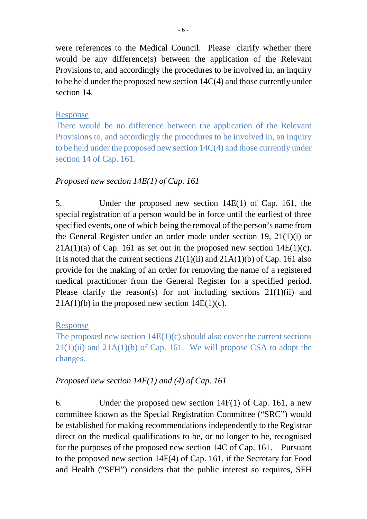were references to the Medical Council. Please clarify whether there would be any difference(s) between the application of the Relevant Provisions to, and accordingly the procedures to be involved in, an inquiry to be held under the proposed new section 14C(4) and those currently under section 14.

## Response

There would be no difference between the application of the Relevant Provisions to, and accordingly the procedures to be involved in, an inquiry to be held under the proposed new section 14C(4) and those currently under section 14 of Cap. 161.

# *Proposed new section 14E(1) of Cap. 161*

5. Under the proposed new section 14E(1) of Cap. 161, the special registration of a person would be in force until the earliest of three specified events, one of which being the removal of the person's name from the General Register under an order made under section 19, 21(1)(i) or  $21A(1)(a)$  of Cap. 161 as set out in the proposed new section  $14E(1)(c)$ . It is noted that the current sections  $21(1)(ii)$  and  $21A(1)(b)$  of Cap. 161 also provide for the making of an order for removing the name of a registered medical practitioner from the General Register for a specified period. Please clarify the reason(s) for not including sections 21(1)(ii) and  $21A(1)(b)$  in the proposed new section  $14E(1)(c)$ .

## Response

The proposed new section  $14E(1)(c)$  should also cover the current sections  $21(1)(ii)$  and  $21A(1)(b)$  of Cap. 161. We will propose CSA to adopt the changes.

# *Proposed new section 14F(1) and (4) of Cap. 161*

6. Under the proposed new section 14F(1) of Cap. 161, a new committee known as the Special Registration Committee ("SRC") would be established for making recommendations independently to the Registrar direct on the medical qualifications to be, or no longer to be, recognised for the purposes of the proposed new section 14C of Cap. 161. Pursuant to the proposed new section 14F(4) of Cap. 161, if the Secretary for Food and Health ("SFH") considers that the public interest so requires, SFH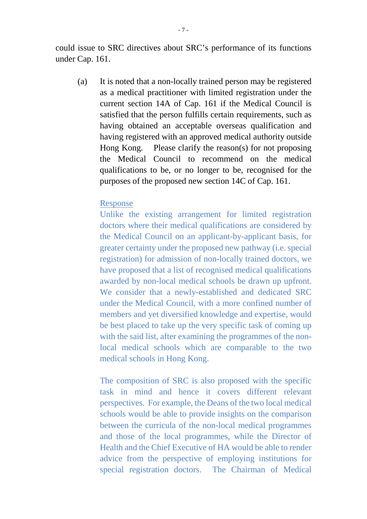could issue to SRC directives about SRC's performance of its functions under Cap. 161.

(a) It is noted that a non-locally trained person may be registered as a medical practitioner with limited registration under the current section 14A of Cap. 161 if the Medical Council is satisfied that the person fulfills certain requirements, such as having obtained an acceptable overseas qualification and having registered with an approved medical authority outside Hong Kong. Please clarify the reason(s) for not proposing the Medical Council to recommend on the medical qualifications to be, or no longer to be, recognised for the purposes of the proposed new section 14C of Cap. 161.

### Response

Unlike the existing arrangement for limited registration doctors where their medical qualifications are considered by the Medical Council on an applicant-by-applicant basis, for greater certainty under the proposed new pathway (i.e. special registration) for admission of non-locally trained doctors, we have proposed that a list of recognised medical qualifications awarded by non-local medical schools be drawn up upfront. We consider that a newly-established and dedicated SRC under the Medical Council, with a more confined number of members and yet diversified knowledge and expertise, would be best placed to take up the very specific task of coming up with the said list, after examining the programmes of the nonlocal medical schools which are comparable to the two medical schools in Hong Kong.

The composition of SRC is also proposed with the specific task in mind and hence it covers different relevant perspectives. For example, the Deans of the two local medical schools would be able to provide insights on the comparison between the curricula of the non-local medical programmes and those of the local programmes, while the Director of Health and the Chief Executive of HA would be able to render advice from the perspective of employing institutions for special registration doctors. The Chairman of Medical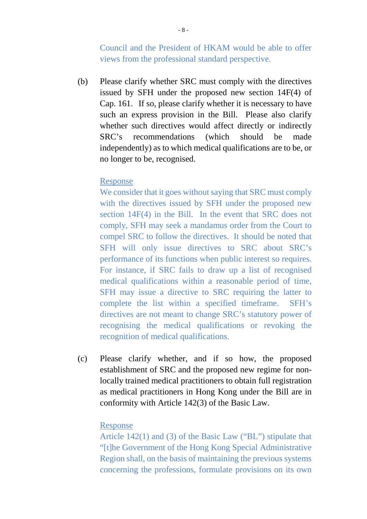Council and the President of HKAM would be able to offer views from the professional standard perspective.

(b) Please clarify whether SRC must comply with the directives issued by SFH under the proposed new section 14F(4) of Cap. 161. If so, please clarify whether it is necessary to have such an express provision in the Bill. Please also clarify whether such directives would affect directly or indirectly SRC's recommendations (which should be made independently) as to which medical qualifications are to be, or no longer to be, recognised.

### Response

We consider that it goes without saying that SRC must comply with the directives issued by SFH under the proposed new section 14F(4) in the Bill. In the event that SRC does not comply, SFH may seek a mandamus order from the Court to compel SRC to follow the directives. It should be noted that SFH will only issue directives to SRC about SRC's performance of its functions when public interest so requires. For instance, if SRC fails to draw up a list of recognised medical qualifications within a reasonable period of time, SFH may issue a directive to SRC requiring the latter to complete the list within a specified timeframe. SFH's directives are not meant to change SRC's statutory power of recognising the medical qualifications or revoking the recognition of medical qualifications.

(c) Please clarify whether, and if so how, the proposed establishment of SRC and the proposed new regime for nonlocally trained medical practitioners to obtain full registration as medical practitioners in Hong Kong under the Bill are in conformity with Article 142(3) of the Basic Law.

### Response

Article 142(1) and (3) of the Basic Law ("BL") stipulate that "[t]he Government of the Hong Kong Special Administrative Region shall, on the basis of maintaining the previous systems concerning the professions, formulate provisions on its own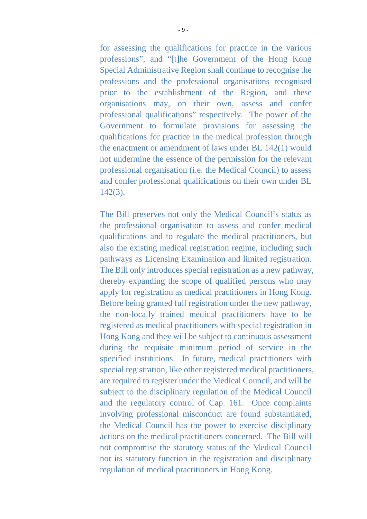for assessing the qualifications for practice in the various professions", and "[t]he Government of the Hong Kong Special Administrative Region shall continue to recognise the professions and the professional organisations recognised prior to the establishment of the Region, and these organisations may, on their own, assess and confer professional qualifications" respectively. The power of the Government to formulate provisions for assessing the qualifications for practice in the medical profession through the enactment or amendment of laws under BL 142(1) would not undermine the essence of the permission for the relevant professional organisation (i.e. the Medical Council) to assess and confer professional qualifications on their own under BL 142(3).

The Bill preserves not only the Medical Council's status as the professional organisation to assess and confer medical qualifications and to regulate the medical practitioners, but also the existing medical registration regime, including such pathways as Licensing Examination and limited registration. The Bill only introduces special registration as a new pathway, thereby expanding the scope of qualified persons who may apply for registration as medical practitioners in Hong Kong. Before being granted full registration under the new pathway, the non-locally trained medical practitioners have to be registered as medical practitioners with special registration in Hong Kong and they will be subject to continuous assessment during the requisite minimum period of service in the specified institutions. In future, medical practitioners with special registration, like other registered medical practitioners, are required to register under the Medical Council, and will be subject to the disciplinary regulation of the Medical Council and the regulatory control of Cap. 161. Once complaints involving professional misconduct are found substantiated, the Medical Council has the power to exercise disciplinary actions on the medical practitioners concerned. The Bill will not compromise the statutory status of the Medical Council nor its statutory function in the registration and disciplinary regulation of medical practitioners in Hong Kong.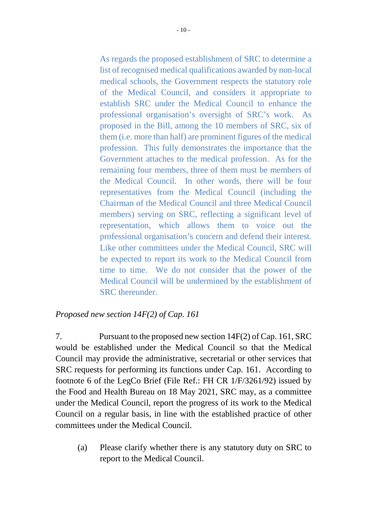As regards the proposed establishment of SRC to determine a list of recognised medical qualifications awarded by non-local medical schools, the Government respects the statutory role of the Medical Council, and considers it appropriate to establish SRC under the Medical Council to enhance the professional organisation's oversight of SRC's work. As proposed in the Bill, among the 10 members of SRC, six of them (i.e. more than half) are prominent figures of the medical profession. This fully demonstrates the importance that the Government attaches to the medical profession. As for the remaining four members, three of them must be members of the Medical Council. In other words, there will be four representatives from the Medical Council (including the Chairman of the Medical Council and three Medical Council members) serving on SRC, reflecting a significant level of representation, which allows them to voice out the professional organisation's concern and defend their interest. Like other committees under the Medical Council, SRC will be expected to report its work to the Medical Council from time to time. We do not consider that the power of the Medical Council will be undermined by the establishment of SRC thereunder.

# *Proposed new section 14F(2) of Cap. 161*

7. Pursuant to the proposed new section 14F(2) of Cap. 161, SRC would be established under the Medical Council so that the Medical Council may provide the administrative, secretarial or other services that SRC requests for performing its functions under Cap. 161. According to footnote 6 of the LegCo Brief (File Ref.: FH CR 1/F/3261/92) issued by the Food and Health Bureau on 18 May 2021, SRC may, as a committee under the Medical Council, report the progress of its work to the Medical Council on a regular basis, in line with the established practice of other committees under the Medical Council.

(a) Please clarify whether there is any statutory duty on SRC to report to the Medical Council.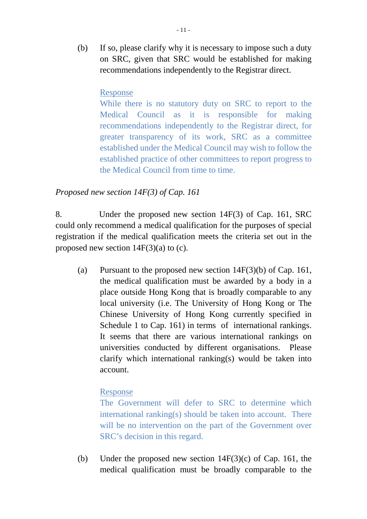(b) If so, please clarify why it is necessary to impose such a duty on SRC, given that SRC would be established for making recommendations independently to the Registrar direct.

## Response

While there is no statutory duty on SRC to report to the Medical Council as it is responsible for making recommendations independently to the Registrar direct, for greater transparency of its work, SRC as a committee established under the Medical Council may wish to follow the established practice of other committees to report progress to the Medical Council from time to time.

# *Proposed new section 14F(3) of Cap. 161*

8. Under the proposed new section 14F(3) of Cap. 161, SRC could only recommend a medical qualification for the purposes of special registration if the medical qualification meets the criteria set out in the proposed new section  $14F(3)(a)$  to (c).

(a) Pursuant to the proposed new section  $14F(3)(b)$  of Cap. 161, the medical qualification must be awarded by a body in a place outside Hong Kong that is broadly comparable to any local university (i.e. The University of Hong Kong or The Chinese University of Hong Kong currently specified in Schedule 1 to Cap. 161) in terms of international rankings. It seems that there are various international rankings on universities conducted by different organisations. Please clarify which international ranking(s) would be taken into account.

## Response

The Government will defer to SRC to determine which international ranking(s) should be taken into account. There will be no intervention on the part of the Government over SRC's decision in this regard.

(b) Under the proposed new section 14F(3)(c) of Cap. 161, the medical qualification must be broadly comparable to the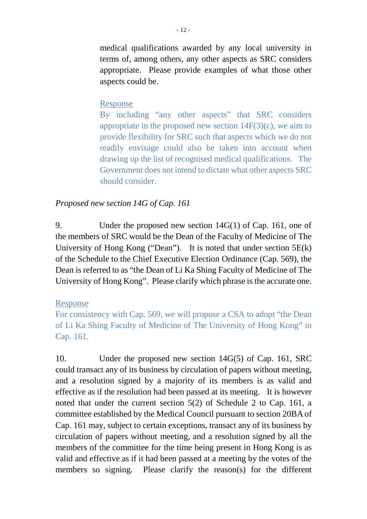medical qualifications awarded by any local university in terms of, among others, any other aspects as SRC considers appropriate. Please provide examples of what those other aspects could be.

### Response

By including "any other aspects" that SRC considers appropriate in the proposed new section  $14F(3)(c)$ , we aim to provide flexibility for SRC such that aspects which we do not readily envisage could also be taken into account when drawing up the list of recognised medical qualifications. The Government does not intend to dictate what other aspects SRC should consider.

## *Proposed new section 14G of Cap. 161*

9. Under the proposed new section 14G(1) of Cap. 161, one of the members of SRC would be the Dean of the Faculty of Medicine of The University of Hong Kong ("Dean"). It is noted that under section 5E(k) of the Schedule to the Chief Executive Election Ordinance (Cap. 569), the Dean is referred to as "the Dean of Li Ka Shing Faculty of Medicine of The University of Hong Kong". Please clarify which phrase is the accurate one.

### Response

For consistency with Cap. 569, we will propose a CSA to adopt "the Dean of Li Ka Shing Faculty of Medicine of The University of Hong Kong" in Cap. 161.

10. Under the proposed new section 14G(5) of Cap. 161, SRC could transact any of its business by circulation of papers without meeting, and a resolution signed by a majority of its members is as valid and effective as if the resolution had been passed at its meeting. It is however noted that under the current section 5(2) of Schedule 2 to Cap. 161, a committee established by the Medical Council pursuant to section 20BA of Cap. 161 may, subject to certain exceptions, transact any of its business by circulation of papers without meeting, and a resolution signed by all the members of the committee for the time being present in Hong Kong is as valid and effective as if it had been passed at a meeting by the votes of the members so signing. Please clarify the reason(s) for the different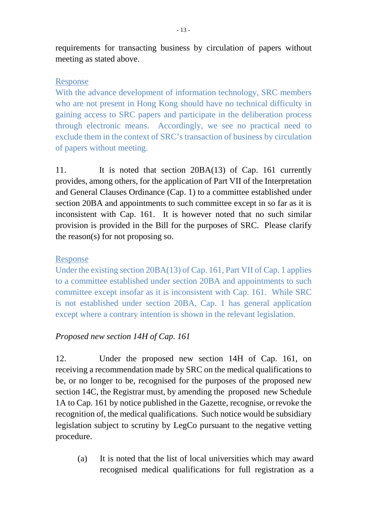requirements for transacting business by circulation of papers without meeting as stated above.

## Response

With the advance development of information technology, SRC members who are not present in Hong Kong should have no technical difficulty in gaining access to SRC papers and participate in the deliberation process through electronic means. Accordingly, we see no practical need to exclude them in the context of SRC's transaction of business by circulation of papers without meeting.

11. It is noted that section 20BA(13) of Cap. 161 currently provides, among others, for the application of Part VII of the Interpretation and General Clauses Ordinance (Cap. 1) to a committee established under section 20BA and appointments to such committee except in so far as it is inconsistent with Cap. 161. It is however noted that no such similar provision is provided in the Bill for the purposes of SRC. Please clarify the reason(s) for not proposing so.

# Response

Under the existing section 20BA(13) of Cap. 161, Part VII of Cap. 1 applies to a committee established under section 20BA and appointments to such committee except insofar as it is inconsistent with Cap. 161. While SRC is not established under section 20BA, Cap. 1 has general application except where a contrary intention is shown in the relevant legislation.

# *Proposed new section 14H of Cap. 161*

12. Under the proposed new section 14H of Cap. 161, on receiving a recommendation made by SRC on the medical qualifications to be, or no longer to be, recognised for the purposes of the proposed new section 14C, the Registrar must, by amending the proposed new Schedule 1A to Cap. 161 by notice published in the Gazette, recognise, or revoke the recognition of, the medical qualifications. Such notice would be subsidiary legislation subject to scrutiny by LegCo pursuant to the negative vetting procedure.

(a) It is noted that the list of local universities which may award recognised medical qualifications for full registration as a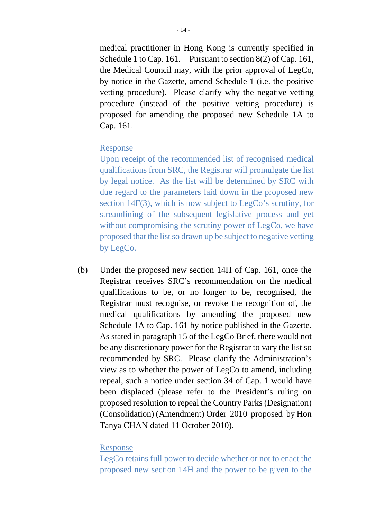medical practitioner in Hong Kong is currently specified in Schedule 1 to Cap. 161. Pursuant to section 8(2) of Cap. 161, the Medical Council may, with the prior approval of LegCo, by notice in the Gazette, amend Schedule 1 (i.e. the positive vetting procedure). Please clarify why the negative vetting procedure (instead of the positive vetting procedure) is proposed for amending the proposed new Schedule 1A to Cap. 161.

### Response

Upon receipt of the recommended list of recognised medical qualifications from SRC, the Registrar will promulgate the list by legal notice. As the list will be determined by SRC with due regard to the parameters laid down in the proposed new section 14F(3), which is now subject to LegCo's scrutiny, for streamlining of the subsequent legislative process and yet without compromising the scrutiny power of LegCo, we have proposed that the list so drawn up be subject to negative vetting by LegCo.

(b) Under the proposed new section 14H of Cap. 161, once the Registrar receives SRC's recommendation on the medical qualifications to be, or no longer to be, recognised, the Registrar must recognise, or revoke the recognition of, the medical qualifications by amending the proposed new Schedule 1A to Cap. 161 by notice published in the Gazette. As stated in paragraph 15 of the LegCo Brief, there would not be any discretionary power for the Registrar to vary the list so recommended by SRC. Please clarify the Administration's view as to whether the power of LegCo to amend, including repeal, such a notice under section 34 of Cap. 1 would have been displaced (please refer to the President's ruling on proposed resolution to repeal the Country Parks (Designation) (Consolidation) (Amendment) Order 2010 proposed by Hon Tanya CHAN dated 11 October 2010).

### Response

LegCo retains full power to decide whether or not to enact the proposed new section 14H and the power to be given to the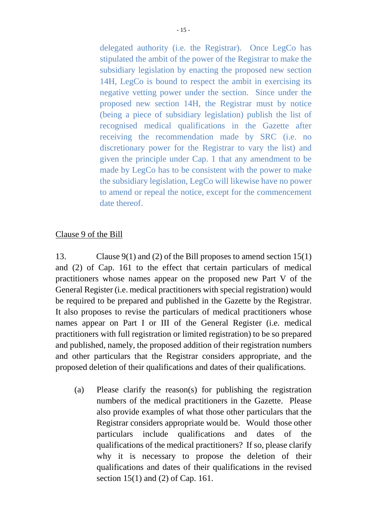delegated authority (i.e. the Registrar). Once LegCo has stipulated the ambit of the power of the Registrar to make the subsidiary legislation by enacting the proposed new section 14H, LegCo is bound to respect the ambit in exercising its negative vetting power under the section. Since under the proposed new section 14H, the Registrar must by notice (being a piece of subsidiary legislation) publish the list of recognised medical qualifications in the Gazette after receiving the recommendation made by SRC (i.e. no discretionary power for the Registrar to vary the list) and given the principle under Cap. 1 that any amendment to be made by LegCo has to be consistent with the power to make the subsidiary legislation, LegCo will likewise have no power to amend or repeal the notice, except for the commencement date thereof.

### Clause 9 of the Bill

13. Clause 9(1) and (2) of the Bill proposes to amend section 15(1) and (2) of Cap. 161 to the effect that certain particulars of medical practitioners whose names appear on the proposed new Part V of the General Register (i.e. medical practitioners with special registration) would be required to be prepared and published in the Gazette by the Registrar. It also proposes to revise the particulars of medical practitioners whose names appear on Part I or III of the General Register (i.e. medical practitioners with full registration or limited registration) to be so prepared and published, namely, the proposed addition of their registration numbers and other particulars that the Registrar considers appropriate, and the proposed deletion of their qualifications and dates of their qualifications.

(a) Please clarify the reason(s) for publishing the registration numbers of the medical practitioners in the Gazette. Please also provide examples of what those other particulars that the Registrar considers appropriate would be. Would those other particulars include qualifications and dates of the qualifications of the medical practitioners? If so, please clarify why it is necessary to propose the deletion of their qualifications and dates of their qualifications in the revised section 15(1) and (2) of Cap. 161.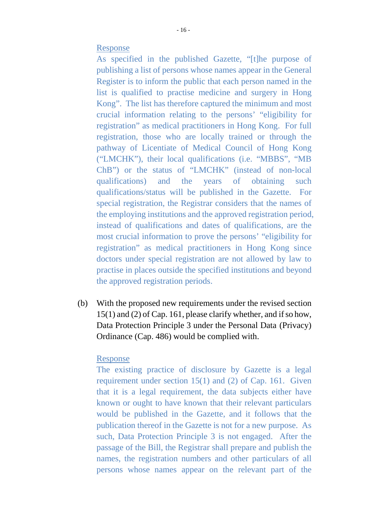- 16 -

Response

As specified in the published Gazette, "[t]he purpose of publishing a list of persons whose names appear in the General Register is to inform the public that each person named in the list is qualified to practise medicine and surgery in Hong Kong". The list has therefore captured the minimum and most crucial information relating to the persons' "eligibility for registration" as medical practitioners in Hong Kong. For full registration, those who are locally trained or through the pathway of Licentiate of Medical Council of Hong Kong ("LMCHK"), their local qualifications (i.e. "MBBS", "MB ChB") or the status of "LMCHK" (instead of non-local qualifications) and the years of obtaining such qualifications/status will be published in the Gazette. For special registration, the Registrar considers that the names of the employing institutions and the approved registration period, instead of qualifications and dates of qualifications, are the most crucial information to prove the persons' "eligibility for registration" as medical practitioners in Hong Kong since doctors under special registration are not allowed by law to practise in places outside the specified institutions and beyond the approved registration periods.

(b) With the proposed new requirements under the revised section  $15(1)$  and (2) of Cap. 161, please clarify whether, and if so how, Data Protection Principle 3 under the Personal Data (Privacy) Ordinance (Cap. 486) would be complied with.

#### Response

The existing practice of disclosure by Gazette is a legal requirement under section 15(1) and (2) of Cap. 161. Given that it is a legal requirement, the data subjects either have known or ought to have known that their relevant particulars would be published in the Gazette, and it follows that the publication thereof in the Gazette is not for a new purpose. As such, Data Protection Principle 3 is not engaged. After the passage of the Bill, the Registrar shall prepare and publish the names, the registration numbers and other particulars of all persons whose names appear on the relevant part of the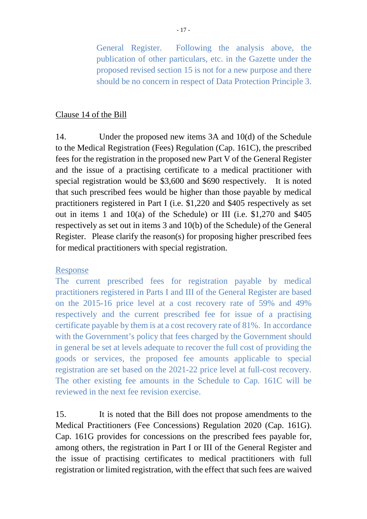General Register. Following the analysis above, the publication of other particulars, etc. in the Gazette under the proposed revised section 15 is not for a new purpose and there should be no concern in respect of Data Protection Principle 3.

### Clause 14 of the Bill

14. Under the proposed new items 3A and 10(d) of the Schedule to the Medical Registration (Fees) Regulation (Cap. 161C), the prescribed fees for the registration in the proposed new Part V of the General Register and the issue of a practising certificate to a medical practitioner with special registration would be \$3,600 and \$690 respectively. It is noted that such prescribed fees would be higher than those payable by medical practitioners registered in Part I (i.e. \$1,220 and \$405 respectively as set out in items 1 and 10(a) of the Schedule) or III (i.e. \$1,270 and \$405 respectively as set out in items 3 and 10(b) of the Schedule) of the General Register. Please clarify the reason(s) for proposing higher prescribed fees for medical practitioners with special registration.

### Response

The current prescribed fees for registration payable by medical practitioners registered in Parts I and III of the General Register are based on the 2015-16 price level at a cost recovery rate of 59% and 49% respectively and the current prescribed fee for issue of a practising certificate payable by them is at a cost recovery rate of 81%. In accordance with the Government's policy that fees charged by the Government should in general be set at levels adequate to recover the full cost of providing the goods or services, the proposed fee amounts applicable to special registration are set based on the 2021-22 price level at full-cost recovery. The other existing fee amounts in the Schedule to Cap. 161C will be reviewed in the next fee revision exercise.

15. It is noted that the Bill does not propose amendments to the Medical Practitioners (Fee Concessions) Regulation 2020 (Cap. 161G). Cap. 161G provides for concessions on the prescribed fees payable for, among others, the registration in Part I or III of the General Register and the issue of practising certificates to medical practitioners with full registration or limited registration, with the effect that such fees are waived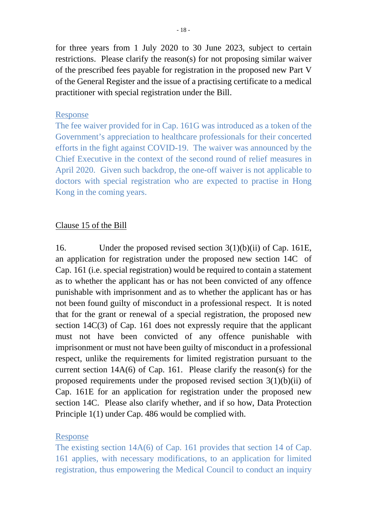for three years from 1 July 2020 to 30 June 2023, subject to certain restrictions. Please clarify the reason(s) for not proposing similar waiver of the prescribed fees payable for registration in the proposed new Part V of the General Register and the issue of a practising certificate to a medical practitioner with special registration under the Bill.

#### Response

The fee waiver provided for in Cap. 161G was introduced as a token of the Government's appreciation to healthcare professionals for their concerted efforts in the fight against COVID-19. The waiver was announced by the Chief Executive in the context of the second round of relief measures in April 2020. Given such backdrop, the one-off waiver is not applicable to doctors with special registration who are expected to practise in Hong Kong in the coming years.

#### Clause 15 of the Bill

16. Under the proposed revised section 3(1)(b)(ii) of Cap. 161E, an application for registration under the proposed new section 14C of Cap. 161 (i.e. special registration) would be required to contain a statement as to whether the applicant has or has not been convicted of any offence punishable with imprisonment and as to whether the applicant has or has not been found guilty of misconduct in a professional respect. It is noted that for the grant or renewal of a special registration, the proposed new section 14C(3) of Cap. 161 does not expressly require that the applicant must not have been convicted of any offence punishable with imprisonment or must not have been guilty of misconduct in a professional respect, unlike the requirements for limited registration pursuant to the current section 14A(6) of Cap. 161. Please clarify the reason(s) for the proposed requirements under the proposed revised section  $3(1)(b)(ii)$  of Cap. 161E for an application for registration under the proposed new section 14C. Please also clarify whether, and if so how, Data Protection Principle 1(1) under Cap. 486 would be complied with.

#### Response

The existing section 14A(6) of Cap. 161 provides that section 14 of Cap. 161 applies, with necessary modifications, to an application for limited registration, thus empowering the Medical Council to conduct an inquiry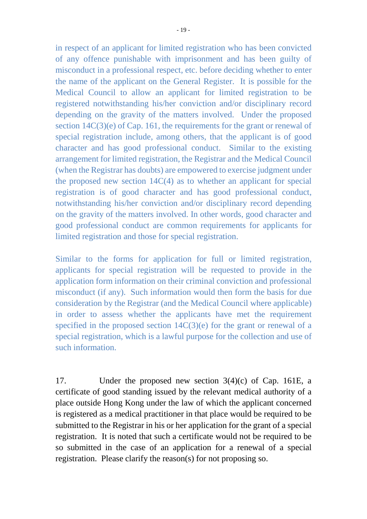in respect of an applicant for limited registration who has been convicted of any offence punishable with imprisonment and has been guilty of misconduct in a professional respect, etc. before deciding whether to enter the name of the applicant on the General Register. It is possible for the Medical Council to allow an applicant for limited registration to be registered notwithstanding his/her conviction and/or disciplinary record depending on the gravity of the matters involved. Under the proposed section 14C(3)(e) of Cap. 161, the requirements for the grant or renewal of special registration include, among others, that the applicant is of good character and has good professional conduct. Similar to the existing arrangement for limited registration, the Registrar and the Medical Council (when the Registrar has doubts) are empowered to exercise judgment under the proposed new section 14C(4) as to whether an applicant for special registration is of good character and has good professional conduct, notwithstanding his/her conviction and/or disciplinary record depending on the gravity of the matters involved. In other words, good character and good professional conduct are common requirements for applicants for limited registration and those for special registration.

Similar to the forms for application for full or limited registration, applicants for special registration will be requested to provide in the application form information on their criminal conviction and professional misconduct (if any). Such information would then form the basis for due consideration by the Registrar (and the Medical Council where applicable) in order to assess whether the applicants have met the requirement specified in the proposed section  $14C(3)(e)$  for the grant or renewal of a special registration, which is a lawful purpose for the collection and use of such information.

17. Under the proposed new section 3(4)(c) of Cap. 161E, a certificate of good standing issued by the relevant medical authority of a place outside Hong Kong under the law of which the applicant concerned is registered as a medical practitioner in that place would be required to be submitted to the Registrar in his or her application for the grant of a special registration. It is noted that such a certificate would not be required to be so submitted in the case of an application for a renewal of a special registration. Please clarify the reason(s) for not proposing so.